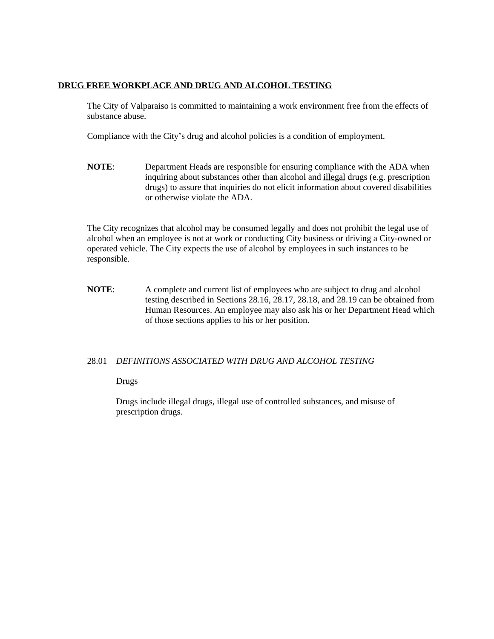# **DRUG FREE WORKPLACE AND DRUG AND ALCOHOL TESTING**

The City of Valparaiso is committed to maintaining a work environment free from the effects of substance abuse.

Compliance with the City's drug and alcohol policies is a condition of employment.

**NOTE**: Department Heads are responsible for ensuring compliance with the ADA when inquiring about substances other than alcohol and illegal drugs (e.g. prescription drugs) to assure that inquiries do not elicit information about covered disabilities or otherwise violate the ADA.

The City recognizes that alcohol may be consumed legally and does not prohibit the legal use of alcohol when an employee is not at work or conducting City business or driving a City-owned or operated vehicle. The City expects the use of alcohol by employees in such instances to be responsible.

**NOTE:** A complete and current list of employees who are subject to drug and alcohol testing described in Sections 28.16, 28.17, 28.18, and 28.19 can be obtained from Human Resources. An employee may also ask his or her Department Head which of those sections applies to his or her position.

# 28.01 *DEFINITIONS ASSOCIATED WITH DRUG AND ALCOHOL TESTING*

# Drugs

Drugs include illegal drugs, illegal use of controlled substances, and misuse of prescription drugs.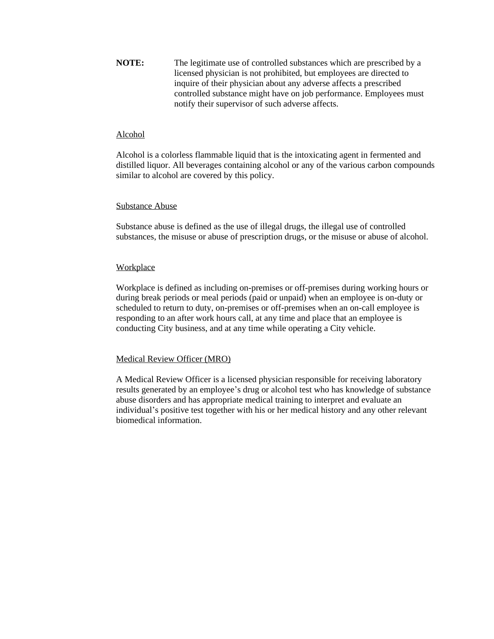**NOTE:** The legitimate use of controlled substances which are prescribed by a licensed physician is not prohibited, but employees are directed to inquire of their physician about any adverse affects a prescribed controlled substance might have on job performance. Employees must notify their supervisor of such adverse affects.

### Alcohol

Alcohol is a colorless flammable liquid that is the intoxicating agent in fermented and distilled liquor. All beverages containing alcohol or any of the various carbon compounds similar to alcohol are covered by this policy.

## Substance Abuse

Substance abuse is defined as the use of illegal drugs, the illegal use of controlled substances, the misuse or abuse of prescription drugs, or the misuse or abuse of alcohol.

## **Workplace**

Workplace is defined as including on-premises or off-premises during working hours or during break periods or meal periods (paid or unpaid) when an employee is on-duty or scheduled to return to duty, on-premises or off-premises when an on-call employee is responding to an after work hours call, at any time and place that an employee is conducting City business, and at any time while operating a City vehicle.

# Medical Review Officer (MRO)

A Medical Review Officer is a licensed physician responsible for receiving laboratory results generated by an employee's drug or alcohol test who has knowledge of substance abuse disorders and has appropriate medical training to interpret and evaluate an individual's positive test together with his or her medical history and any other relevant biomedical information.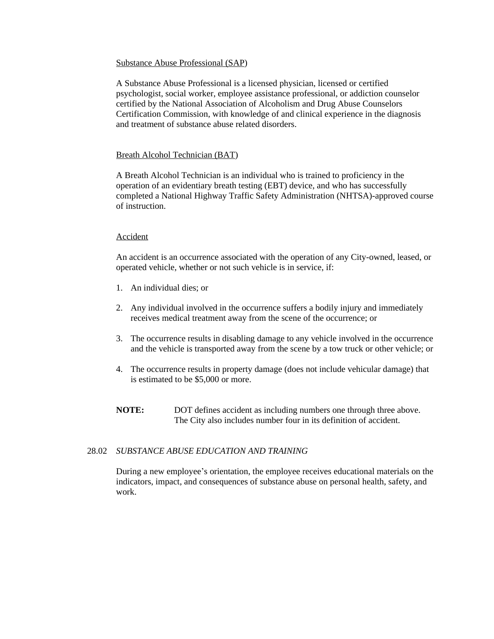# Substance Abuse Professional (SAP)

A Substance Abuse Professional is a licensed physician, licensed or certified psychologist, social worker, employee assistance professional, or addiction counselor certified by the National Association of Alcoholism and Drug Abuse Counselors Certification Commission, with knowledge of and clinical experience in the diagnosis and treatment of substance abuse related disorders.

# Breath Alcohol Technician (BAT)

A Breath Alcohol Technician is an individual who is trained to proficiency in the operation of an evidentiary breath testing (EBT) device, and who has successfully completed a National Highway Traffic Safety Administration (NHTSA)-approved course of instruction.

# Accident

An accident is an occurrence associated with the operation of any City-owned, leased, or operated vehicle, whether or not such vehicle is in service, if:

- 1. An individual dies; or
- 2. Any individual involved in the occurrence suffers a bodily injury and immediately receives medical treatment away from the scene of the occurrence; or
- 3. The occurrence results in disabling damage to any vehicle involved in the occurrence and the vehicle is transported away from the scene by a tow truck or other vehicle; or
- 4. The occurrence results in property damage (does not include vehicular damage) that is estimated to be \$5,000 or more.
- **NOTE:** DOT defines accident as including numbers one through three above. The City also includes number four in its definition of accident.

# 28.02 *SUBSTANCE ABUSE EDUCATION AND TRAINING*

During a new employee's orientation, the employee receives educational materials on the indicators, impact, and consequences of substance abuse on personal health, safety, and work.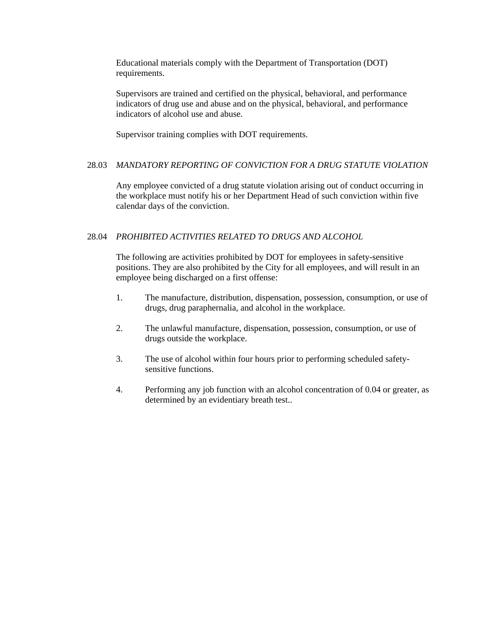Educational materials comply with the Department of Transportation (DOT) requirements.

Supervisors are trained and certified on the physical, behavioral, and performance indicators of drug use and abuse and on the physical, behavioral, and performance indicators of alcohol use and abuse.

Supervisor training complies with DOT requirements.

# 28.03 *MANDATORY REPORTING OF CONVICTION FOR A DRUG STATUTE VIOLATION*

Any employee convicted of a drug statute violation arising out of conduct occurring in the workplace must notify his or her Department Head of such conviction within five calendar days of the conviction.

## 28.04 *PROHIBITED ACTIVITIES RELATED TO DRUGS AND ALCOHOL*

The following are activities prohibited by DOT for employees in safety-sensitive positions. They are also prohibited by the City for all employees, and will result in an employee being discharged on a first offense:

- 1. The manufacture, distribution, dispensation, possession, consumption, or use of drugs, drug paraphernalia, and alcohol in the workplace.
- 2. The unlawful manufacture, dispensation, possession, consumption, or use of drugs outside the workplace.
- 3. The use of alcohol within four hours prior to performing scheduled safetysensitive functions.
- 4. Performing any job function with an alcohol concentration of 0.04 or greater, as determined by an evidentiary breath test..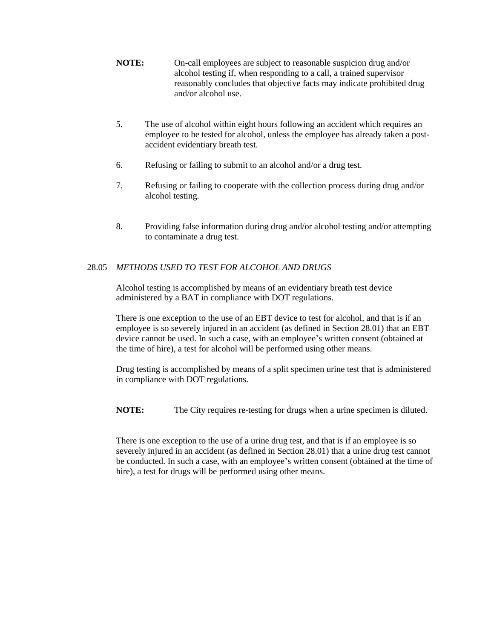- **NOTE:** On-call employees are subject to reasonable suspicion drug and/or alcohol testing if, when responding to a call, a trained supervisor reasonably concludes that objective facts may indicate prohibited drug and/or alcohol use.
- 5. The use of alcohol within eight hours following an accident which requires an employee to be tested for alcohol, unless the employee has already taken a postaccident evidentiary breath test.
- 6. Refusing or failing to submit to an alcohol and/or a drug test.
- 7. Refusing or failing to cooperate with the collection process during drug and/or alcohol testing.
- 8. Providing false information during drug and/or alcohol testing and/or attempting to contaminate a drug test.

# 28.05 *METHODS USED TO TEST FOR ALCOHOL AND DRUGS*

Alcohol testing is accomplished by means of an evidentiary breath test device administered by a BAT in compliance with DOT regulations.

There is one exception to the use of an EBT device to test for alcohol, and that is if an employee is so severely injured in an accident (as defined in Section 28.01) that an EBT device cannot be used. In such a case, with an employee's written consent (obtained at the time of hire), a test for alcohol will be performed using other means.

Drug testing is accomplished by means of a split specimen urine test that is administered in compliance with DOT regulations.

**NOTE:** The City requires re-testing for drugs when a urine specimen is diluted.

There is one exception to the use of a urine drug test, and that is if an employee is so severely injured in an accident (as defined in Section 28.01) that a urine drug test cannot be conducted. In such a case, with an employee's written consent (obtained at the time of hire), a test for drugs will be performed using other means.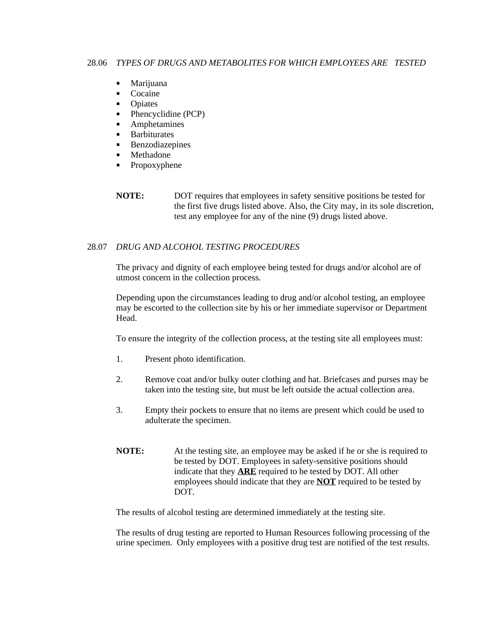- **Marijuana**
- Cocaine
- Opiates
- $\blacksquare$  Phencyclidine (PCP)
- **Amphetamines**
- **Barbiturates**
- **Benzodiazepines**
- Methadone
- Propoxyphene

**NOTE:** DOT requires that employees in safety sensitive positions be tested for the first five drugs listed above. Also, the City may, in its sole discretion, test any employee for any of the nine (9) drugs listed above.

# 28.07 *DRUG AND ALCOHOL TESTING PROCEDURES*

The privacy and dignity of each employee being tested for drugs and/or alcohol are of utmost concern in the collection process.

Depending upon the circumstances leading to drug and/or alcohol testing, an employee may be escorted to the collection site by his or her immediate supervisor or Department Head.

To ensure the integrity of the collection process, at the testing site all employees must:

- 1. Present photo identification.
- 2. Remove coat and/or bulky outer clothing and hat. Briefcases and purses may be taken into the testing site, but must be left outside the actual collection area.
- 3. Empty their pockets to ensure that no items are present which could be used to adulterate the specimen.
- **NOTE:** At the testing site, an employee may be asked if he or she is required to be tested by DOT. Employees in safety-sensitive positions should indicate that they **ARE** required to be tested by DOT. All other employees should indicate that they are **NOT** required to be tested by DOT.

The results of alcohol testing are determined immediately at the testing site.

The results of drug testing are reported to Human Resources following processing of the urine specimen. Only employees with a positive drug test are notified of the test results.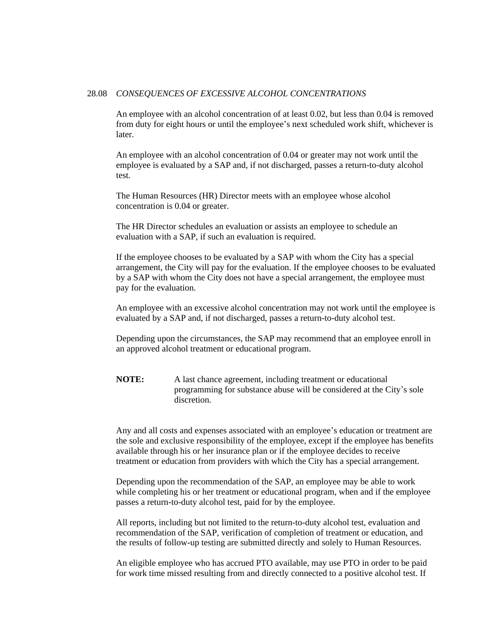#### 28.08 *CONSEQUENCES OF EXCESSIVE ALCOHOL CONCENTRATIONS*

An employee with an alcohol concentration of at least 0.02, but less than 0.04 is removed from duty for eight hours or until the employee's next scheduled work shift, whichever is later.

An employee with an alcohol concentration of 0.04 or greater may not work until the employee is evaluated by a SAP and, if not discharged, passes a return-to-duty alcohol test.

The Human Resources (HR) Director meets with an employee whose alcohol concentration is 0.04 or greater.

The HR Director schedules an evaluation or assists an employee to schedule an evaluation with a SAP, if such an evaluation is required.

If the employee chooses to be evaluated by a SAP with whom the City has a special arrangement, the City will pay for the evaluation. If the employee chooses to be evaluated by a SAP with whom the City does not have a special arrangement, the employee must pay for the evaluation.

An employee with an excessive alcohol concentration may not work until the employee is evaluated by a SAP and, if not discharged, passes a return-to-duty alcohol test.

Depending upon the circumstances, the SAP may recommend that an employee enroll in an approved alcohol treatment or educational program.

**NOTE:** A last chance agreement, including treatment or educational programming for substance abuse will be considered at the City's sole discretion.

Any and all costs and expenses associated with an employee's education or treatment are the sole and exclusive responsibility of the employee, except if the employee has benefits available through his or her insurance plan or if the employee decides to receive treatment or education from providers with which the City has a special arrangement.

Depending upon the recommendation of the SAP, an employee may be able to work while completing his or her treatment or educational program, when and if the employee passes a return-to-duty alcohol test, paid for by the employee.

All reports, including but not limited to the return-to-duty alcohol test, evaluation and recommendation of the SAP, verification of completion of treatment or education, and the results of follow-up testing are submitted directly and solely to Human Resources.

An eligible employee who has accrued PTO available, may use PTO in order to be paid for work time missed resulting from and directly connected to a positive alcohol test. If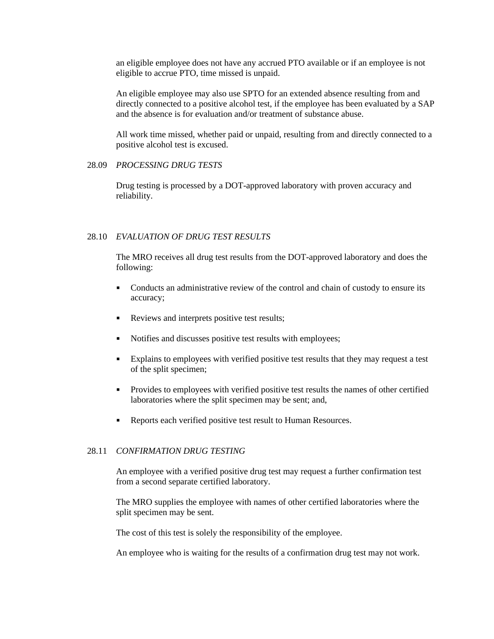an eligible employee does not have any accrued PTO available or if an employee is not eligible to accrue PTO, time missed is unpaid.

An eligible employee may also use SPTO for an extended absence resulting from and directly connected to a positive alcohol test, if the employee has been evaluated by a SAP and the absence is for evaluation and/or treatment of substance abuse.

All work time missed, whether paid or unpaid, resulting from and directly connected to a positive alcohol test is excused.

### 28.09 *PROCESSING DRUG TESTS*

Drug testing is processed by a DOT-approved laboratory with proven accuracy and reliability.

#### 28.10 *EVALUATION OF DRUG TEST RESULTS*

The MRO receives all drug test results from the DOT-approved laboratory and does the following:

- Conducts an administrative review of the control and chain of custody to ensure its accuracy;
- Reviews and interprets positive test results;
- Notifies and discusses positive test results with employees;
- Explains to employees with verified positive test results that they may request a test of the split specimen;
- **Provides to employees with verified positive test results the names of other certified** laboratories where the split specimen may be sent; and,
- Reports each verified positive test result to Human Resources.

### 28.11 *CONFIRMATION DRUG TESTING*

An employee with a verified positive drug test may request a further confirmation test from a second separate certified laboratory.

The MRO supplies the employee with names of other certified laboratories where the split specimen may be sent.

The cost of this test is solely the responsibility of the employee.

An employee who is waiting for the results of a confirmation drug test may not work.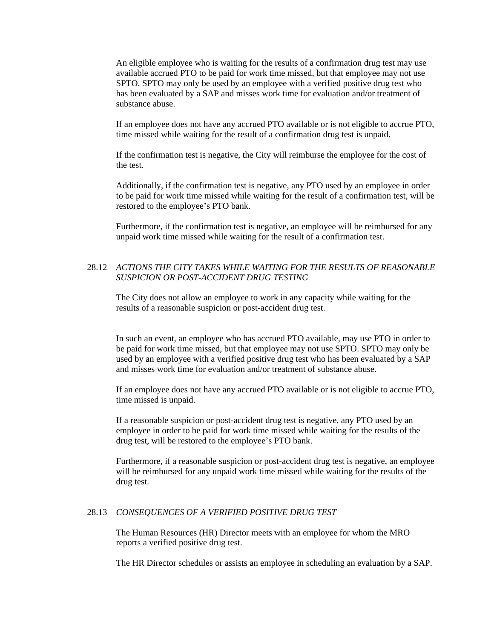An eligible employee who is waiting for the results of a confirmation drug test may use available accrued PTO to be paid for work time missed, but that employee may not use SPTO. SPTO may only be used by an employee with a verified positive drug test who has been evaluated by a SAP and misses work time for evaluation and/or treatment of substance abuse.

If an employee does not have any accrued PTO available or is not eligible to accrue PTO, time missed while waiting for the result of a confirmation drug test is unpaid.

If the confirmation test is negative, the City will reimburse the employee for the cost of the test.

Additionally, if the confirmation test is negative, any PTO used by an employee in order to be paid for work time missed while waiting for the result of a confirmation test, will be restored to the employee's PTO bank.

Furthermore, if the confirmation test is negative, an employee will be reimbursed for any unpaid work time missed while waiting for the result of a confirmation test.

# 28.12 *ACTIONS THE CITY TAKES WHILE WAITING FOR THE RESULTS OF REASONABLE SUSPICION OR POST-ACCIDENT DRUG TESTING*

The City does not allow an employee to work in any capacity while waiting for the results of a reasonable suspicion or post-accident drug test.

In such an event, an employee who has accrued PTO available, may use PTO in order to be paid for work time missed, but that employee may not use SPTO. SPTO may only be used by an employee with a verified positive drug test who has been evaluated by a SAP and misses work time for evaluation and/or treatment of substance abuse.

If an employee does not have any accrued PTO available or is not eligible to accrue PTO, time missed is unpaid.

If a reasonable suspicion or post-accident drug test is negative, any PTO used by an employee in order to be paid for work time missed while waiting for the results of the drug test, will be restored to the employee's PTO bank.

Furthermore, if a reasonable suspicion or post-accident drug test is negative, an employee will be reimbursed for any unpaid work time missed while waiting for the results of the drug test.

## 28.13 *CONSEQUENCES OF A VERIFIED POSITIVE DRUG TEST*

The Human Resources (HR) Director meets with an employee for whom the MRO reports a verified positive drug test.

The HR Director schedules or assists an employee in scheduling an evaluation by a SAP.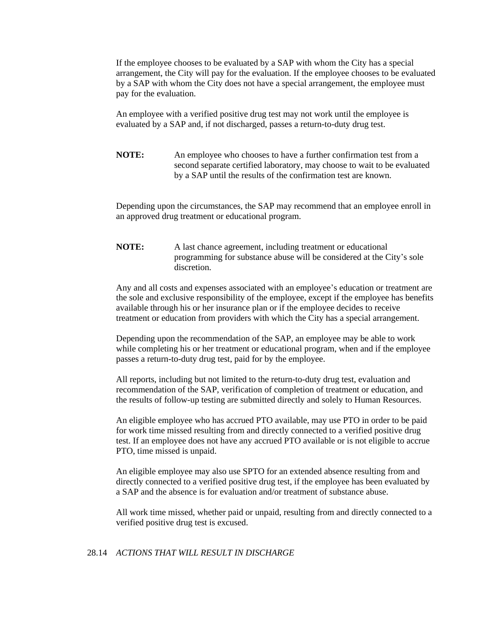If the employee chooses to be evaluated by a SAP with whom the City has a special arrangement, the City will pay for the evaluation. If the employee chooses to be evaluated by a SAP with whom the City does not have a special arrangement, the employee must pay for the evaluation.

An employee with a verified positive drug test may not work until the employee is evaluated by a SAP and, if not discharged, passes a return-to-duty drug test.

**NOTE:** An employee who chooses to have a further confirmation test from a second separate certified laboratory, may choose to wait to be evaluated by a SAP until the results of the confirmation test are known.

Depending upon the circumstances, the SAP may recommend that an employee enroll in an approved drug treatment or educational program.

**NOTE:** A last chance agreement, including treatment or educational programming for substance abuse will be considered at the City's sole discretion.

Any and all costs and expenses associated with an employee's education or treatment are the sole and exclusive responsibility of the employee, except if the employee has benefits available through his or her insurance plan or if the employee decides to receive treatment or education from providers with which the City has a special arrangement.

Depending upon the recommendation of the SAP, an employee may be able to work while completing his or her treatment or educational program, when and if the employee passes a return-to-duty drug test, paid for by the employee.

All reports, including but not limited to the return-to-duty drug test, evaluation and recommendation of the SAP, verification of completion of treatment or education, and the results of follow-up testing are submitted directly and solely to Human Resources.

An eligible employee who has accrued PTO available, may use PTO in order to be paid for work time missed resulting from and directly connected to a verified positive drug test. If an employee does not have any accrued PTO available or is not eligible to accrue PTO, time missed is unpaid.

An eligible employee may also use SPTO for an extended absence resulting from and directly connected to a verified positive drug test, if the employee has been evaluated by a SAP and the absence is for evaluation and/or treatment of substance abuse.

All work time missed, whether paid or unpaid, resulting from and directly connected to a verified positive drug test is excused.

#### 28.14 *ACTIONS THAT WILL RESULT IN DISCHARGE*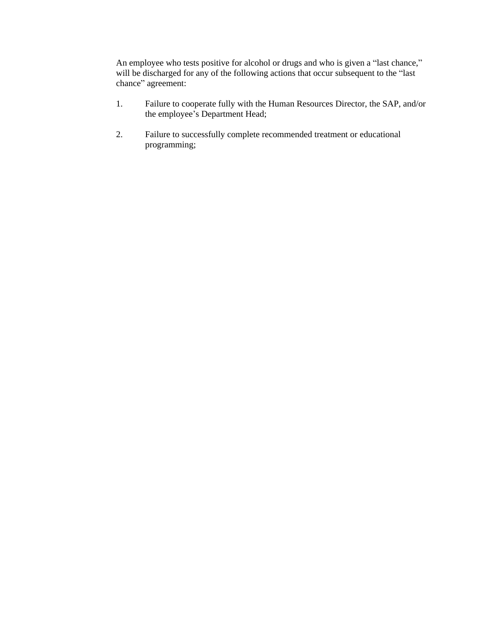An employee who tests positive for alcohol or drugs and who is given a "last chance," will be discharged for any of the following actions that occur subsequent to the "last chance" agreement:

- 1. Failure to cooperate fully with the Human Resources Director, the SAP, and/or the employee's Department Head;
- 2. Failure to successfully complete recommended treatment or educational programming;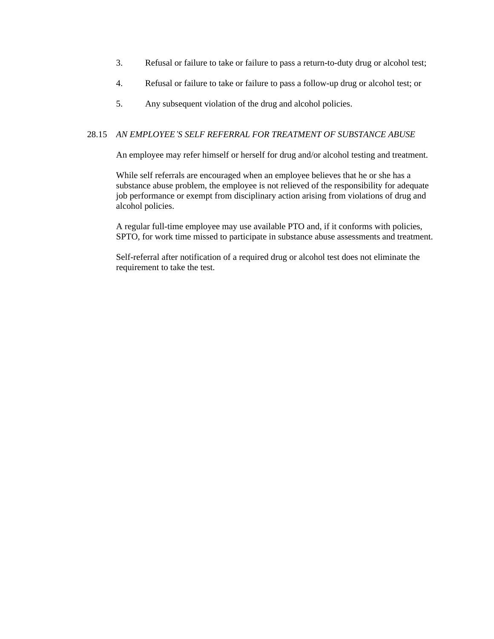- 3. Refusal or failure to take or failure to pass a return-to-duty drug or alcohol test;
- 4. Refusal or failure to take or failure to pass a follow-up drug or alcohol test; or
- 5. Any subsequent violation of the drug and alcohol policies.

## 28.15 *AN EMPLOYEE'S SELF REFERRAL FOR TREATMENT OF SUBSTANCE ABUSE*

An employee may refer himself or herself for drug and/or alcohol testing and treatment.

While self referrals are encouraged when an employee believes that he or she has a substance abuse problem, the employee is not relieved of the responsibility for adequate job performance or exempt from disciplinary action arising from violations of drug and alcohol policies.

A regular full-time employee may use available PTO and, if it conforms with policies, SPTO, for work time missed to participate in substance abuse assessments and treatment.

Self-referral after notification of a required drug or alcohol test does not eliminate the requirement to take the test.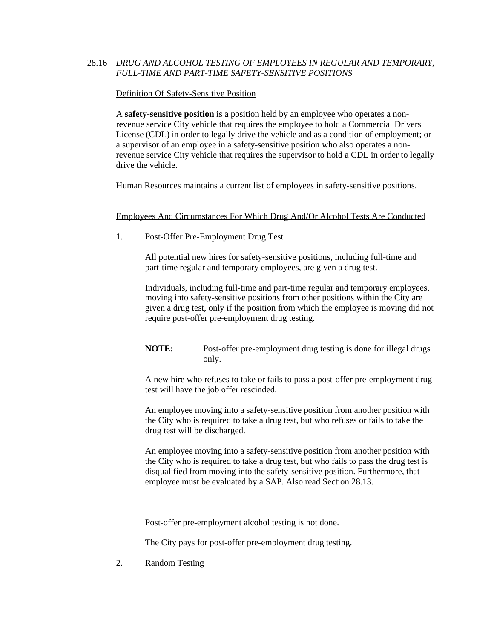# 28.16 *DRUG AND ALCOHOL TESTING OF EMPLOYEES IN REGULAR AND TEMPORARY, FULL-TIME AND PART-TIME SAFETY-SENSITIVE POSITIONS*

## Definition Of Safety-Sensitive Position

A **safety-sensitive position** is a position held by an employee who operates a nonrevenue service City vehicle that requires the employee to hold a Commercial Drivers License (CDL) in order to legally drive the vehicle and as a condition of employment; or a supervisor of an employee in a safety-sensitive position who also operates a nonrevenue service City vehicle that requires the supervisor to hold a CDL in order to legally drive the vehicle.

Human Resources maintains a current list of employees in safety-sensitive positions.

# Employees And Circumstances For Which Drug And/Or Alcohol Tests Are Conducted

1. Post-Offer Pre-Employment Drug Test

All potential new hires for safety-sensitive positions, including full-time and part-time regular and temporary employees, are given a drug test.

Individuals, including full-time and part-time regular and temporary employees, moving into safety-sensitive positions from other positions within the City are given a drug test, only if the position from which the employee is moving did not require post-offer pre-employment drug testing.

**NOTE:** Post-offer pre-employment drug testing is done for illegal drugs only.

A new hire who refuses to take or fails to pass a post-offer pre-employment drug test will have the job offer rescinded.

An employee moving into a safety-sensitive position from another position with the City who is required to take a drug test, but who refuses or fails to take the drug test will be discharged.

An employee moving into a safety-sensitive position from another position with the City who is required to take a drug test, but who fails to pass the drug test is disqualified from moving into the safety-sensitive position. Furthermore, that employee must be evaluated by a SAP. Also read Section 28.13.

Post-offer pre-employment alcohol testing is not done.

The City pays for post-offer pre-employment drug testing.

2. Random Testing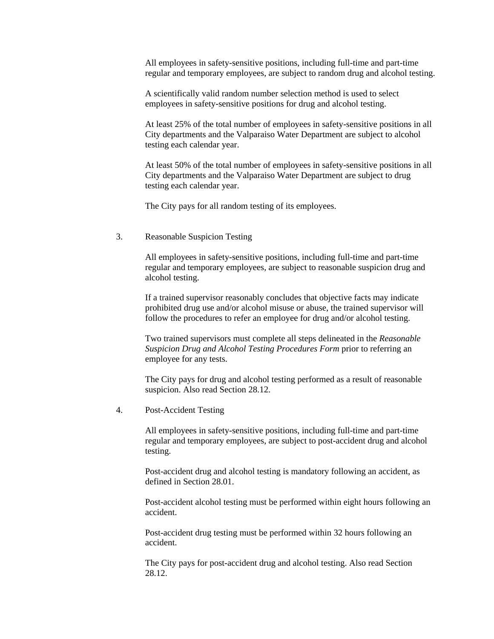All employees in safety-sensitive positions, including full-time and part-time regular and temporary employees, are subject to random drug and alcohol testing.

A scientifically valid random number selection method is used to select employees in safety-sensitive positions for drug and alcohol testing.

At least 25% of the total number of employees in safety-sensitive positions in all City departments and the Valparaiso Water Department are subject to alcohol testing each calendar year.

At least 50% of the total number of employees in safety-sensitive positions in all City departments and the Valparaiso Water Department are subject to drug testing each calendar year.

The City pays for all random testing of its employees.

#### 3. Reasonable Suspicion Testing

All employees in safety-sensitive positions, including full-time and part-time regular and temporary employees, are subject to reasonable suspicion drug and alcohol testing.

If a trained supervisor reasonably concludes that objective facts may indicate prohibited drug use and/or alcohol misuse or abuse, the trained supervisor will follow the procedures to refer an employee for drug and/or alcohol testing.

Two trained supervisors must complete all steps delineated in the *Reasonable Suspicion Drug and Alcohol Testing Procedures Form* prior to referring an employee for any tests.

The City pays for drug and alcohol testing performed as a result of reasonable suspicion. Also read Section 28.12.

4. Post-Accident Testing

All employees in safety-sensitive positions, including full-time and part-time regular and temporary employees, are subject to post-accident drug and alcohol testing.

Post-accident drug and alcohol testing is mandatory following an accident, as defined in Section 28.01.

Post-accident alcohol testing must be performed within eight hours following an accident.

Post-accident drug testing must be performed within 32 hours following an accident.

The City pays for post-accident drug and alcohol testing. Also read Section 28.12.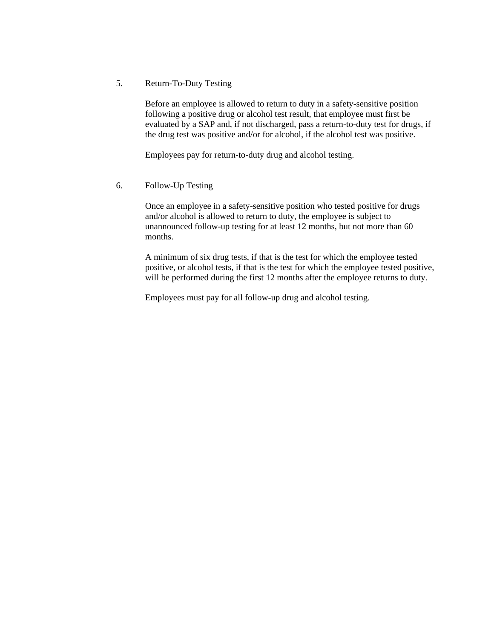5. Return-To-Duty Testing

Before an employee is allowed to return to duty in a safety-sensitive position following a positive drug or alcohol test result, that employee must first be evaluated by a SAP and, if not discharged, pass a return-to-duty test for drugs, if the drug test was positive and/or for alcohol, if the alcohol test was positive.

Employees pay for return-to-duty drug and alcohol testing.

6. Follow-Up Testing

Once an employee in a safety-sensitive position who tested positive for drugs and/or alcohol is allowed to return to duty, the employee is subject to unannounced follow-up testing for at least 12 months, but not more than 60 months.

A minimum of six drug tests, if that is the test for which the employee tested positive, or alcohol tests, if that is the test for which the employee tested positive, will be performed during the first 12 months after the employee returns to duty.

Employees must pay for all follow-up drug and alcohol testing.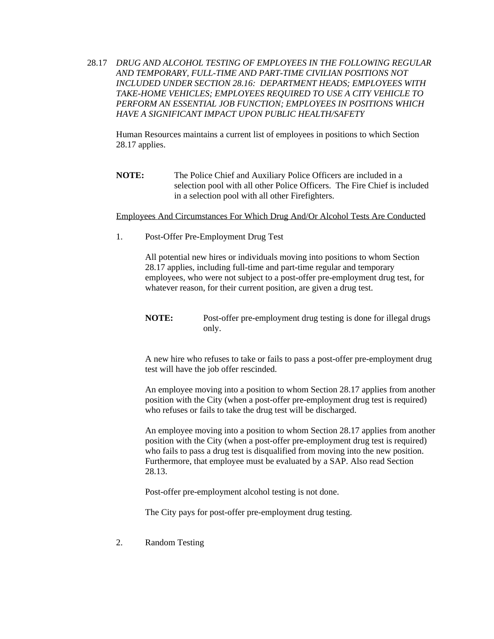28.17 *DRUG AND ALCOHOL TESTING OF EMPLOYEES IN THE FOLLOWING REGULAR AND TEMPORARY, FULL-TIME AND PART-TIME CIVILIAN POSITIONS NOT INCLUDED UNDER SECTION 28.16: DEPARTMENT HEADS; EMPLOYEES WITH TAKE-HOME VEHICLES; EMPLOYEES REQUIRED TO USE A CITY VEHICLE TO PERFORM AN ESSENTIAL JOB FUNCTION; EMPLOYEES IN POSITIONS WHICH HAVE A SIGNIFICANT IMPACT UPON PUBLIC HEALTH/SAFETY*

Human Resources maintains a current list of employees in positions to which Section 28.17 applies.

**NOTE:** The Police Chief and Auxiliary Police Officers are included in a selection pool with all other Police Officers. The Fire Chief is included in a selection pool with all other Firefighters.

#### Employees And Circumstances For Which Drug And/Or Alcohol Tests Are Conducted

1. Post-Offer Pre-Employment Drug Test

All potential new hires or individuals moving into positions to whom Section 28.17 applies, including full-time and part-time regular and temporary employees, who were not subject to a post-offer pre-employment drug test, for whatever reason, for their current position, are given a drug test.

**NOTE:** Post-offer pre-employment drug testing is done for illegal drugs only.

A new hire who refuses to take or fails to pass a post-offer pre-employment drug test will have the job offer rescinded.

An employee moving into a position to whom Section 28.17 applies from another position with the City (when a post-offer pre-employment drug test is required) who refuses or fails to take the drug test will be discharged.

An employee moving into a position to whom Section 28.17 applies from another position with the City (when a post-offer pre-employment drug test is required) who fails to pass a drug test is disqualified from moving into the new position. Furthermore, that employee must be evaluated by a SAP. Also read Section 28.13.

Post-offer pre-employment alcohol testing is not done.

The City pays for post-offer pre-employment drug testing.

2. Random Testing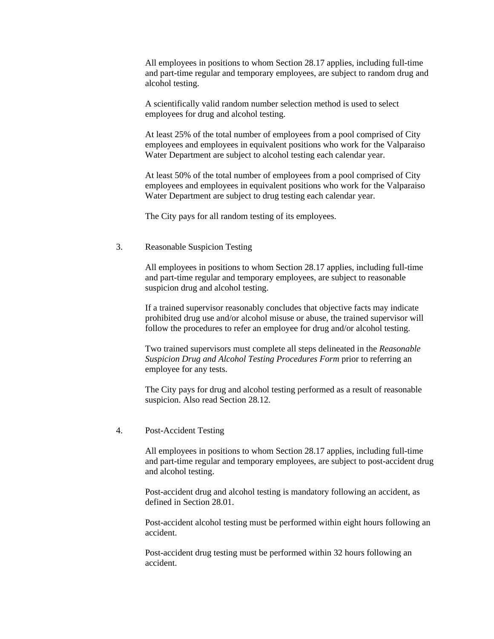All employees in positions to whom Section 28.17 applies, including full-time and part-time regular and temporary employees, are subject to random drug and alcohol testing.

A scientifically valid random number selection method is used to select employees for drug and alcohol testing.

At least 25% of the total number of employees from a pool comprised of City employees and employees in equivalent positions who work for the Valparaiso Water Department are subject to alcohol testing each calendar year.

At least 50% of the total number of employees from a pool comprised of City employees and employees in equivalent positions who work for the Valparaiso Water Department are subject to drug testing each calendar year.

The City pays for all random testing of its employees.

# 3. Reasonable Suspicion Testing

All employees in positions to whom Section 28.17 applies, including full-time and part-time regular and temporary employees, are subject to reasonable suspicion drug and alcohol testing.

If a trained supervisor reasonably concludes that objective facts may indicate prohibited drug use and/or alcohol misuse or abuse, the trained supervisor will follow the procedures to refer an employee for drug and/or alcohol testing.

Two trained supervisors must complete all steps delineated in the *Reasonable Suspicion Drug and Alcohol Testing Procedures Form* prior to referring an employee for any tests.

The City pays for drug and alcohol testing performed as a result of reasonable suspicion. Also read Section 28.12.

#### 4. Post-Accident Testing

All employees in positions to whom Section 28.17 applies, including full-time and part-time regular and temporary employees, are subject to post-accident drug and alcohol testing.

Post-accident drug and alcohol testing is mandatory following an accident, as defined in Section 28.01.

Post-accident alcohol testing must be performed within eight hours following an accident.

Post-accident drug testing must be performed within 32 hours following an accident.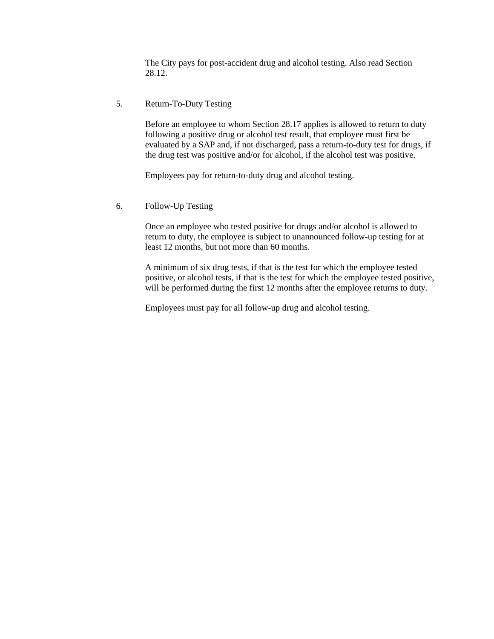The City pays for post-accident drug and alcohol testing. Also read Section 28.12.

# 5. Return-To-Duty Testing

Before an employee to whom Section 28.17 applies is allowed to return to duty following a positive drug or alcohol test result, that employee must first be evaluated by a SAP and, if not discharged, pass a return-to-duty test for drugs, if the drug test was positive and/or for alcohol, if the alcohol test was positive.

Employees pay for return-to-duty drug and alcohol testing.

6. Follow-Up Testing

Once an employee who tested positive for drugs and/or alcohol is allowed to return to duty, the employee is subject to unannounced follow-up testing for at least 12 months, but not more than 60 months.

A minimum of six drug tests, if that is the test for which the employee tested positive, or alcohol tests, if that is the test for which the employee tested positive, will be performed during the first 12 months after the employee returns to duty.

Employees must pay for all follow-up drug and alcohol testing.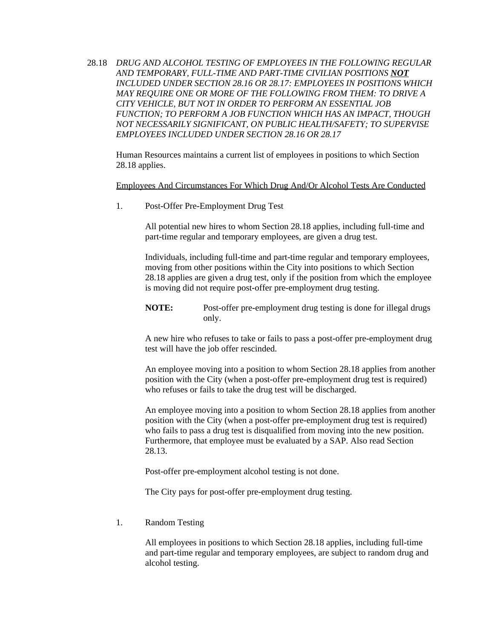28.18 *DRUG AND ALCOHOL TESTING OF EMPLOYEES IN THE FOLLOWING REGULAR AND TEMPORARY, FULL-TIME AND PART-TIME CIVILIAN POSITIONS NOT INCLUDED UNDER SECTION 28.16 OR 28.17: EMPLOYEES IN POSITIONS WHICH MAY REQUIRE ONE OR MORE OF THE FOLLOWING FROM THEM: TO DRIVE A CITY VEHICLE, BUT NOT IN ORDER TO PERFORM AN ESSENTIAL JOB FUNCTION; TO PERFORM A JOB FUNCTION WHICH HAS AN IMPACT, THOUGH NOT NECESSARILY SIGNIFICANT, ON PUBLIC HEALTH/SAFETY; TO SUPERVISE EMPLOYEES INCLUDED UNDER SECTION 28.16 OR 28.17*

Human Resources maintains a current list of employees in positions to which Section 28.18 applies.

Employees And Circumstances For Which Drug And/Or Alcohol Tests Are Conducted

1. Post-Offer Pre-Employment Drug Test

All potential new hires to whom Section 28.18 applies, including full-time and part-time regular and temporary employees, are given a drug test.

Individuals, including full-time and part-time regular and temporary employees, moving from other positions within the City into positions to which Section 28.18 applies are given a drug test, only if the position from which the employee is moving did not require post-offer pre-employment drug testing.

**NOTE:** Post-offer pre-employment drug testing is done for illegal drugs only.

A new hire who refuses to take or fails to pass a post-offer pre-employment drug test will have the job offer rescinded.

An employee moving into a position to whom Section 28.18 applies from another position with the City (when a post-offer pre-employment drug test is required) who refuses or fails to take the drug test will be discharged.

An employee moving into a position to whom Section 28.18 applies from another position with the City (when a post-offer pre-employment drug test is required) who fails to pass a drug test is disqualified from moving into the new position. Furthermore, that employee must be evaluated by a SAP. Also read Section 28.13.

Post-offer pre-employment alcohol testing is not done.

The City pays for post-offer pre-employment drug testing.

1. Random Testing

All employees in positions to which Section 28.18 applies, including full-time and part-time regular and temporary employees, are subject to random drug and alcohol testing.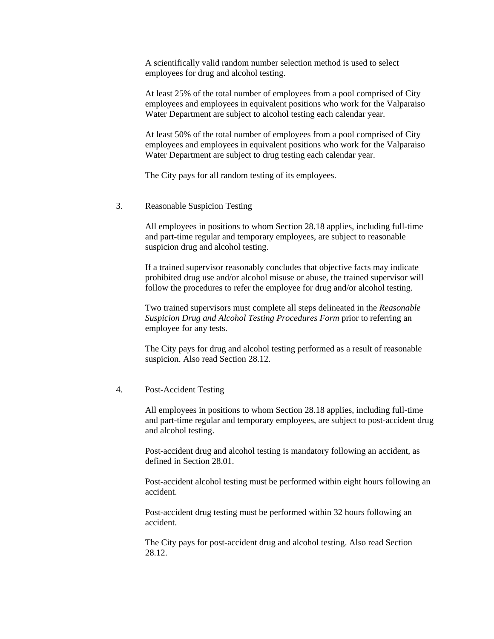A scientifically valid random number selection method is used to select employees for drug and alcohol testing.

At least 25% of the total number of employees from a pool comprised of City employees and employees in equivalent positions who work for the Valparaiso Water Department are subject to alcohol testing each calendar year.

At least 50% of the total number of employees from a pool comprised of City employees and employees in equivalent positions who work for the Valparaiso Water Department are subject to drug testing each calendar year.

The City pays for all random testing of its employees.

3. Reasonable Suspicion Testing

All employees in positions to whom Section 28.18 applies, including full-time and part-time regular and temporary employees, are subject to reasonable suspicion drug and alcohol testing.

If a trained supervisor reasonably concludes that objective facts may indicate prohibited drug use and/or alcohol misuse or abuse, the trained supervisor will follow the procedures to refer the employee for drug and/or alcohol testing.

Two trained supervisors must complete all steps delineated in the *Reasonable Suspicion Drug and Alcohol Testing Procedures Form* prior to referring an employee for any tests.

The City pays for drug and alcohol testing performed as a result of reasonable suspicion. Also read Section 28.12.

#### 4. Post-Accident Testing

All employees in positions to whom Section 28.18 applies, including full-time and part-time regular and temporary employees, are subject to post-accident drug and alcohol testing.

Post-accident drug and alcohol testing is mandatory following an accident, as defined in Section 28.01.

Post-accident alcohol testing must be performed within eight hours following an accident.

Post-accident drug testing must be performed within 32 hours following an accident.

The City pays for post-accident drug and alcohol testing. Also read Section 28.12.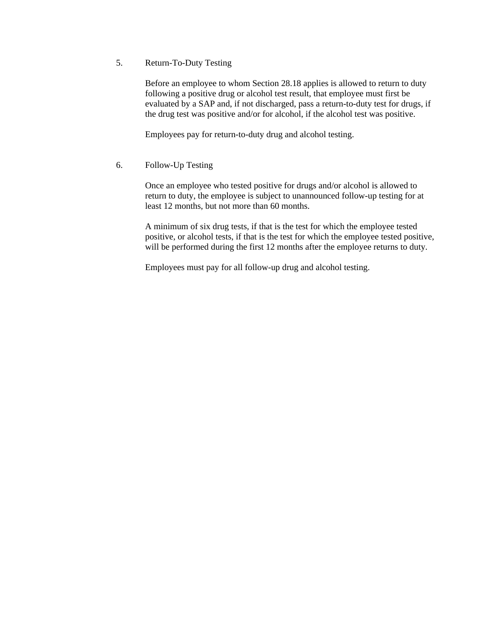5. Return-To-Duty Testing

Before an employee to whom Section 28.18 applies is allowed to return to duty following a positive drug or alcohol test result, that employee must first be evaluated by a SAP and, if not discharged, pass a return-to-duty test for drugs, if the drug test was positive and/or for alcohol, if the alcohol test was positive.

Employees pay for return-to-duty drug and alcohol testing.

6. Follow-Up Testing

Once an employee who tested positive for drugs and/or alcohol is allowed to return to duty, the employee is subject to unannounced follow-up testing for at least 12 months, but not more than 60 months.

A minimum of six drug tests, if that is the test for which the employee tested positive, or alcohol tests, if that is the test for which the employee tested positive, will be performed during the first 12 months after the employee returns to duty.

Employees must pay for all follow-up drug and alcohol testing.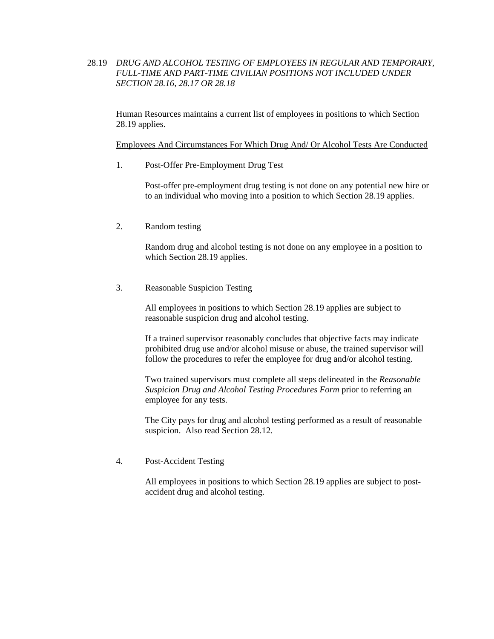# 28.19 *DRUG AND ALCOHOL TESTING OF EMPLOYEES IN REGULAR AND TEMPORARY, FULL-TIME AND PART-TIME CIVILIAN POSITIONS NOT INCLUDED UNDER SECTION 28.16, 28.17 OR 28.18*

Human Resources maintains a current list of employees in positions to which Section 28.19 applies.

Employees And Circumstances For Which Drug And/ Or Alcohol Tests Are Conducted

1. Post-Offer Pre-Employment Drug Test

Post-offer pre-employment drug testing is not done on any potential new hire or to an individual who moving into a position to which Section 28.19 applies.

2. Random testing

Random drug and alcohol testing is not done on any employee in a position to which Section 28.19 applies.

3. Reasonable Suspicion Testing

All employees in positions to which Section 28.19 applies are subject to reasonable suspicion drug and alcohol testing.

If a trained supervisor reasonably concludes that objective facts may indicate prohibited drug use and/or alcohol misuse or abuse, the trained supervisor will follow the procedures to refer the employee for drug and/or alcohol testing.

Two trained supervisors must complete all steps delineated in the *Reasonable Suspicion Drug and Alcohol Testing Procedures Form* prior to referring an employee for any tests.

The City pays for drug and alcohol testing performed as a result of reasonable suspicion. Also read Section 28.12.

4. Post-Accident Testing

All employees in positions to which Section 28.19 applies are subject to postaccident drug and alcohol testing.